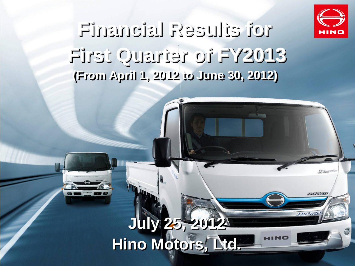

unnac

the birthe

## **Financial Results for First Quarter of FY2013 (From April 1, 2012 to June 30, 2012)**

### **July 25, 2012 Hino Motors, Ltd.**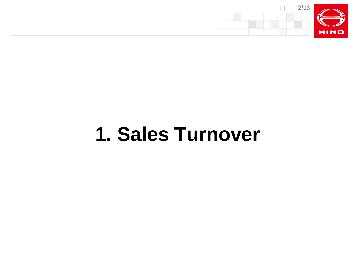

# **1. Sales Turnover**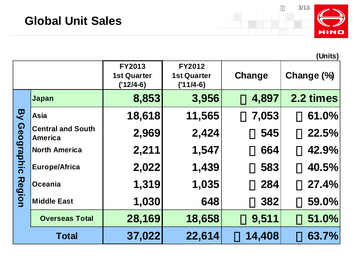

**(Units)**

|                   |                                     | <b>FY2013</b><br><b>1st Quarter</b><br>$('12/4-6)$ | <b>FY2012</b><br><b>1st Quarter</b><br>$('11/4-6)$ | Change | Change (%) |
|-------------------|-------------------------------------|----------------------------------------------------|----------------------------------------------------|--------|------------|
|                   | Japan                               | 8,853                                              | 3,956                                              | 4,897  | 2.2 times  |
| マ                 | Asia                                | 18,618                                             | 11,565                                             | 7,053  | 61.0%      |
| <b>Geographic</b> | <b>Central and South</b><br>America | 2,969                                              | 2,424                                              | 545    | 22.5%      |
|                   | North America                       | 2,211                                              | 1,547                                              | 664    | 42.9%      |
|                   | <b>Europe/Africa</b>                | 2,022                                              | 1,439                                              | 583    | 40.5%      |
| <b>Region</b>     | <b>Oceania</b>                      | 1,319                                              | 1,035                                              | 284    | 27.4%      |
|                   | <b>Middle East</b>                  | 1,030                                              | 648                                                | 382    | 59.0%      |
|                   | <b>Overseas Total</b>               | 28,169                                             | 18,658                                             | 9,511  | 51.0%      |
|                   | <b>Total</b>                        | 37,022                                             | 22,614                                             | 14,408 | 63.7%      |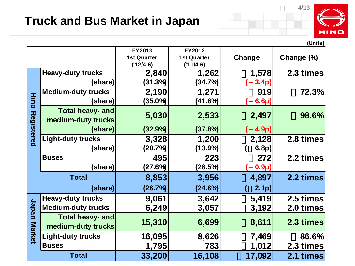#### **Truck and Bus Market in Japan**



|                   |                                               |                                             |                                             |                  | (Units)    |
|-------------------|-----------------------------------------------|---------------------------------------------|---------------------------------------------|------------------|------------|
|                   |                                               | FY2013<br><b>1st Quarter</b><br>$('12/4-6)$ | FY2012<br><b>1st Quarter</b><br>$('11/4-6)$ | Change           | Change (%) |
|                   | <b>Heavy-duty trucks</b>                      | 2,840                                       | 1,262                                       | 1,578            | 2.3 times  |
|                   | (share)                                       | (31.3%)                                     | (34.7%)                                     | 3.4p)            |            |
|                   | <b>Medium-duty trucks</b>                     | 2,190                                       | 1,271                                       | 919              | 72.3%      |
| <b>Hino</b>       | (share)                                       | $(35.0\%)$                                  | (41.6%)                                     | 6.6p)            |            |
| <b>Registered</b> | Total heavy- and<br>medium-duty trucks        | 5,030                                       | 2,533                                       | 2,497            | 98.6%      |
|                   | (share)                                       | (32.9%)                                     | (37.8%)                                     | 4.9p)            |            |
|                   | <b>Light-duty trucks</b>                      | 3,328                                       | 1,200                                       | 2,128            | 2.8 times  |
|                   | (share)                                       | (20.7%)                                     | $(13.9\%)$                                  | 6.8p)            |            |
|                   | <b>Buses</b>                                  | 495                                         | 223                                         | 272              | 2.2 times  |
|                   | (share)                                       | (27.6%)                                     | (28.5%)                                     | 0.9p)            |            |
|                   | <b>Total</b>                                  | 8,853                                       | 3,956                                       | 4,897            | 2.2 times  |
|                   | (share)                                       | (26.7%)                                     | (24.6%)                                     | 2.1 <sub>p</sub> |            |
|                   | <b>Heavy-duty trucks</b>                      | 9,061                                       | 3,642                                       | 5,419            | 2.5 times  |
| <b>Japan</b>      | <b>Medium-duty trucks</b>                     | 6,249                                       | 3,057                                       | 3,192            | 2.0 times  |
| <b>Market</b>     | <b>Total heavy- and</b><br>medium-duty trucks | 15,310                                      | 6,699                                       | 8,611            | 2.3 times  |
|                   | <b>Light-duty trucks</b>                      | 16,095                                      | 8,626                                       | 7,469            | 86.6%      |
|                   | <b>Buses</b>                                  | 1,795                                       | 783                                         | 1,012            | 2.3 times  |
|                   | <b>Total</b>                                  | 33,200                                      | 16,108                                      | 17,092           | 2.1 times  |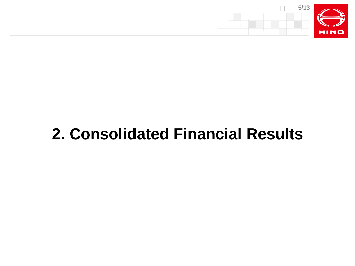

## **2. Consolidated Financial Results**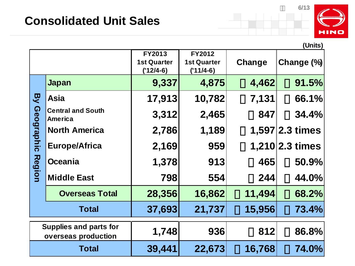

|                                                      |                                            |                                                    |                                                    |        | (Units)                   |
|------------------------------------------------------|--------------------------------------------|----------------------------------------------------|----------------------------------------------------|--------|---------------------------|
|                                                      |                                            | <b>FY2013</b><br><b>1st Quarter</b><br>$('12/4-6)$ | <b>FY2012</b><br><b>1st Quarter</b><br>$('11/4-6)$ | Change | Change (%)                |
|                                                      | <b>Japan</b>                               | 9,337                                              | 4,875                                              | 4,462  | 91.5%                     |
| マン                                                   | <b>Asia</b>                                | 17,913                                             | 10,782                                             | 7,131  | 66.1%                     |
| <b>Geographic</b>                                    | <b>Central and South</b><br><b>America</b> | 3,312                                              | 2,465                                              | 847    | 34.4%                     |
|                                                      | <b>North America</b>                       | 2,786                                              | 1,189                                              |        | $1,597$  2.3 times        |
|                                                      | <b>Europe/Africa</b>                       | 2,169                                              | 959                                                |        | $1,210 2.3 \text{ times}$ |
| <b>Region</b>                                        | <b>Oceania</b>                             | 1,378                                              | 913                                                | 465    | 50.9%                     |
|                                                      | <b>Middle East</b>                         | 798                                                | 554                                                | 244    | 44.0%                     |
|                                                      | <b>Overseas Total</b>                      | 28,356                                             | 16,862                                             | 11,494 | 68.2%                     |
|                                                      | <b>Total</b>                               | 37,693                                             | 21,737                                             | 15,956 | 73.4%                     |
| <b>Supplies and parts for</b><br>overseas production |                                            | 1,748                                              | 936                                                | 812    | 86.8%                     |
|                                                      | <b>Total</b>                               | 39,441                                             | 22,673                                             | 16,768 | <b>74.0%</b>              |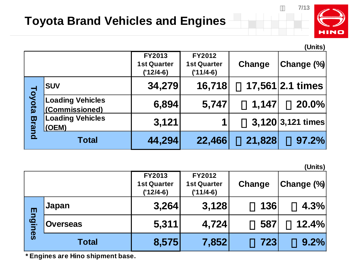

**(Units)**

|               |                                           |                                                    |                                             |        | וטוווטן              |
|---------------|-------------------------------------------|----------------------------------------------------|---------------------------------------------|--------|----------------------|
|               |                                           | <b>FY2013</b><br><b>1st Quarter</b><br>$('12/4-6)$ | FY2012<br><b>1st Quarter</b><br>$('11/4-6)$ | Change | Change (%)           |
|               | <b>SUV</b>                                | 34,279                                             | 16,718                                      |        | $17,561$   2.1 times |
| <b>Toyota</b> | <b>Loading Vehicles</b><br>(Commissioned) | 6,894                                              | 5,747                                       | 1,147  | 20.0%                |
| <b>Bran</b>   | <b>Loading Vehicles</b><br>$ $ (OEM)      | 3,121                                              |                                             |        | 3,120 3,121 times    |
|               | <b>Total</b>                              | 44,294                                             | 22,466                                      | 21,828 | 97.2%                |

**(Units)**

|         |                 | <b>FY2013</b><br><b>1st Quarter</b><br>$('12/4-6)$ | <b>FY2012</b><br><b>1st Quarter</b><br>$('11/4-6)$ | Change | Change (%) |
|---------|-----------------|----------------------------------------------------|----------------------------------------------------|--------|------------|
|         | Japan           | 3,264                                              | 3,128                                              | 136    | 4.3%       |
| Engines | <b>Overseas</b> | 5,311                                              | 4,724                                              | 587    | 12.4%      |
|         | <b>Total</b>    | 8,575                                              | 7,852                                              | 723    | 9.2%       |

**\* Engines are Hino shipment base.**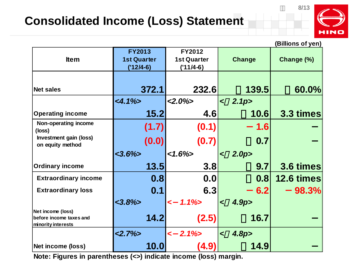### **Consolidated Income (Loss) Statement**



|                             |                    |                    |                             | (Billions of yen) |
|-----------------------------|--------------------|--------------------|-----------------------------|-------------------|
|                             | <b>FY2013</b>      | FY2012             |                             |                   |
| <b>Item</b>                 | <b>1st Quarter</b> | <b>1st Quarter</b> | <b>Change</b>               | Change (%)        |
|                             | $('12/4-6)$        | $('11/4-6)$        |                             |                   |
|                             |                    |                    |                             |                   |
|                             |                    |                    |                             |                   |
| <b>Net sales</b>            | 372.1              | 232.6              | 139.5                       | 60.0%             |
|                             | $<4.1\%>$          | $<2.0\%$           | 2.1 <sub>p</sub><br>$\prec$ |                   |
| <b>Operating income</b>     | 15.2               | 4.6                | <b>10.6</b>                 | 3.3 times         |
| Non-operating income        | (1.7)              | (0.1)              | 1.6                         |                   |
| (loss)                      |                    |                    |                             |                   |
| Investment gain (loss)      | (0.0)              | (0.7)              | 0.7                         |                   |
| on equity method            |                    |                    |                             |                   |
|                             |                    |                    |                             |                   |
|                             | $<3.6\%$           | $<1.6\%$           | 2.0 <sub>p</sub><br>$\prec$ |                   |
| <b>Ordinary income</b>      | 13.5               | 3.8                | 9.7                         |                   |
| <b>Extraordinary income</b> | 0.8                | 0.0                | 0.8                         | 12.6 times        |
| <b>Extraordinary loss</b>   | 0.1                | 6.3                | 6.2                         | 98.3%             |
|                             | $<3.8\%$           | $1.1\%$<br>$\prec$ | 4.9 <sub>p</sub><br>$\prec$ |                   |
| Net income (loss)           |                    |                    |                             |                   |
| before income taxes and     | 14.2               | (2.5)              | 16.7                        | 3.6 times         |
| minority interests          |                    |                    |                             |                   |
|                             | $<2.7\%>$          | $< 2.1\%>$         | 4.8 <sub>p</sub><br>$\prec$ |                   |

**Note: Figures in parentheses (<>) indicate income (loss) margin.**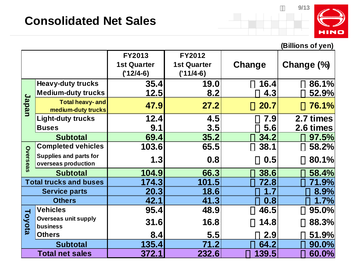

#### **(Billions of yen)**

|          |                                                      | <b>FY2013</b><br><b>1st Quarter</b> | FY2012<br><b>1st Quarter</b> | Change | Change (%) |
|----------|------------------------------------------------------|-------------------------------------|------------------------------|--------|------------|
|          |                                                      | $('12/4-6)$                         | $('11/4-6)$                  |        |            |
|          | <b>Heavy-duty trucks</b>                             | 35.4                                | 19.0                         | 16.4   | 86.1%      |
|          | <b>Medium-duty trucks</b>                            | 12.5                                | 8.2                          | 4.3    | 52.9%      |
| Japan    | <b>Total heavy- and</b><br>medium-duty trucks        | 47.9                                | 27.2                         | 20.7   | 76.1%      |
|          | <b>Light-duty trucks</b>                             | 12.4                                | 4.5                          | 7.9    | 2.7 times  |
|          | <b>Buses</b>                                         | 9.1                                 | 3.5                          | 5.6    | 2.6 times  |
|          | <b>Subtotal</b>                                      | 69.4                                | 35.2                         | 34.2   | 97.5%      |
|          | <b>Completed vehicles</b>                            | 103.6                               | 65.5                         | 38.1   | 58.2%      |
| Overseas | <b>Supplies and parts for</b><br>overseas production | 1.3                                 | 0.8                          | 0.5    | 80.1%      |
|          | <b>Subtotal</b>                                      | 104.9                               | 66.3                         | 38.6   | 58.4%      |
|          | <b>Total trucks and buses</b>                        | 174.3                               | 101.5                        | 72.8   | 71.9%      |
|          | <b>Service parts</b>                                 | 20.3                                | 18.6                         | 1.7    | 8.9%       |
|          | <b>Others</b>                                        | 42.1                                | 41.3                         | 0.8    | 1.7%       |
|          | <b>Vehicles</b>                                      | 95.4                                | 48.9                         | 46.5   | 95.0%      |
| Toyota   | <b>Overseas unit supply</b><br>business              | 31.6                                | 16.8                         | 14.8   | 88.3%      |
|          | <b>Others</b>                                        | 8.4                                 | 5.5                          | 2.9    | 51.9%      |
|          | <b>Subtotal</b>                                      | 135.4                               | 71.2                         | 64.2   | 90.0%      |
|          | <b>Total net sales</b>                               | 372.1                               | 232.6                        | 139.5  | $60.0\%$   |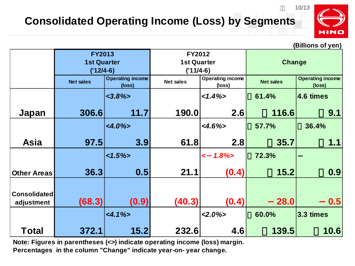#### **Consolidated Operating Income (Loss) by Segments**



**(Billions of yen)**

|                                   | <b>FY2013</b><br><b>1st Quarter</b><br>$('12/4-6)$ |                                   | FY2012<br><b>1st Quarter</b><br>$('11/4-6)$ |                                   | Change           |                                   |
|-----------------------------------|----------------------------------------------------|-----------------------------------|---------------------------------------------|-----------------------------------|------------------|-----------------------------------|
|                                   | <b>Net sales</b>                                   | <b>Operating income</b><br>(loss) | <b>Net sales</b>                            | <b>Operating income</b><br>(loss) | <b>Net sales</b> | <b>Operating income</b><br>(loss) |
|                                   |                                                    | $<3.8\%>$                         |                                             | $<1.4\%>$                         | 61.4%            | 4.6 times                         |
| Japan                             | 306.6                                              | 11.7                              | 190.0                                       | 2.6                               | 116.6            | 9.1                               |
|                                   |                                                    | $<4.0\%$                          |                                             | $<4.6\%$                          | 57.7%            | 36.4%                             |
| <b>Asia</b>                       | 97.5                                               | 3.9                               | 61.8                                        | 2.8                               | 35.7             | 1.1                               |
|                                   |                                                    | $<1.5\%$                          |                                             | $1.8\%$<br>$\prec$                | 72.3%            |                                   |
| <b>Other Areas</b>                | 36.3                                               | 0.5                               | 21.1                                        | (0.4)                             | 15.2             | 0.9                               |
| <b>Consolidated</b><br>adjustment | (68.3)                                             | (0.9)                             | (40.3)                                      | (0.4)                             | 28.0             | 0.5                               |
|                                   |                                                    | $<4.1\%>$                         |                                             | $<2.0\%$                          | 60.0%            | 3.3 times                         |
| <b>Total</b>                      | 372.1                                              | 15.2                              | 232.6                                       | 4.6                               | 139.5            | 10.6                              |

**Note: Figures in parentheses (<>) indicate operating income (loss) margin. Percentages in the column "Change" indicate year-on- year change.**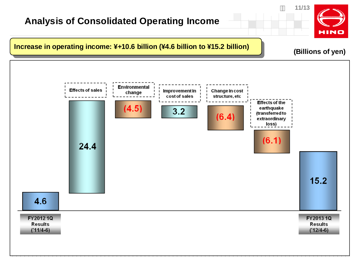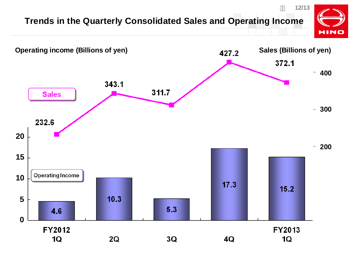#### **Trends in the Quarterly Consolidated Sales and Operating Income**